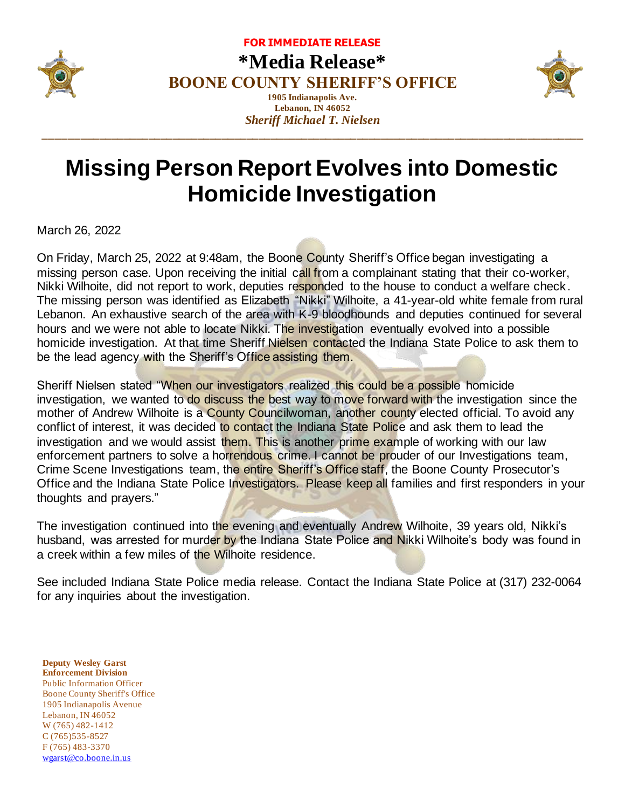

**FOR IMMEDIATE RELEASE \*Media Release\* BOONE COUNTY SHERIFF'S OFFICE 1905 Indianapolis Ave. Lebanon, IN 46052**

*Sheriff Michael T. Nielsen* **\_\_\_\_\_\_\_\_\_\_\_\_\_\_\_\_\_\_\_\_\_\_\_\_\_\_\_\_\_\_\_\_\_\_\_\_\_\_\_\_\_\_\_\_\_\_\_\_\_\_\_\_\_\_\_\_\_\_\_\_\_\_\_\_\_\_\_\_\_\_\_\_\_\_\_\_\_\_\_\_\_\_\_\_\_\_\_\_**



## **Missing Person Report Evolves into Domestic Homicide Investigation**

March 26, 2022

On Friday, March 25, 2022 at 9:48am, the Boone County Sheriff's Office began investigating a missing person case. Upon receiving the initial call from a complainant stating that their co-worker, Nikki Wilhoite, did not report to work, deputies responded to the house to conduct a welfare check. The missing person was identified as Elizabeth "Nikki" Wilhoite, a 41-year-old white female from rural Lebanon. An exhaustive search of the area with K-9 bloodhounds and deputies continued for several hours and we were not able to locate Nikki. The investigation eventually evolved into a possible homicide investigation. At that time Sheriff Nielsen contacted the Indiana State Police to ask them to be the lead agency with the Sheriff's Office assisting them.

Sheriff Nielsen stated "When our investigators realized this could be a possible homicide investigation, we wanted to do discuss the best way to move forward with the investigation since the mother of Andrew Wilhoite is a County Councilwoman, another county elected official. To avoid any conflict of interest, it was decided to contact the Indiana State Police and ask them to lead the investigation and we would assist them. This is another prime example of working with our law enforcement partners to solve a horrendous crime. I cannot be prouder of our Investigations team, Crime Scene Investigations team, the entire Sheriff's Office staff, the Boone County Prosecutor's Office and the Indiana State Police Investigators. Please keep all families and first responders in your thoughts and prayers."

The investigation continued into the evening and eventually Andrew Wilhoite, 39 years old, Nikki's husband, was arrested for murder by the Indiana State Police and Nikki Wilhoite's body was found in a creek within a few miles of the Wilhoite residence.

See included Indiana State Police media release. Contact the Indiana State Police at (317) 232-0064 for any inquiries about the investigation.

**Deputy Wesley Garst Enforcement Division** Public Information Officer Boone County Sheriff's Office 1905 Indianapolis Avenue Lebanon, IN 46052 W (765) 482-1412 C (765)535-8527 F (765) 483-3370 [wgarst@co.boone.in.us](mailto:wgarst@co.boone.in.us)